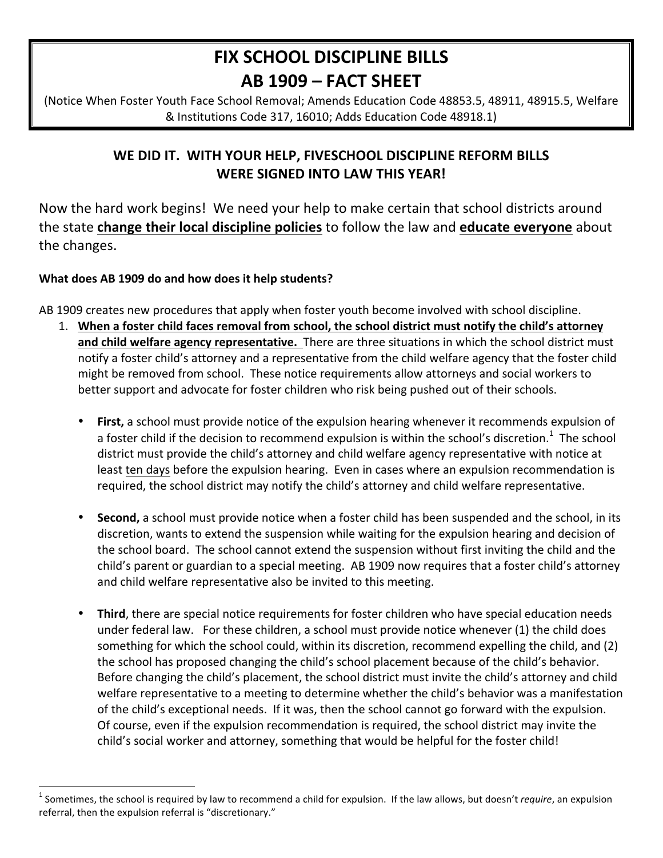# **FIX SCHOOL DISCIPLINE BILLS** AB 1909 - FACT SHEET

(Notice When Foster Youth Face School Removal; Amends Education Code 48853.5, 48911, 48915.5, Welfare & Institutions Code 317, 16010; Adds Education Code 48918.1)

# WE DID IT. WITH YOUR HELP, FIVESCHOOL DISCIPLINE REFORM BILLS **WERE SIGNED INTO LAW THIS YEAR!**

Now the hard work begins! We need your help to make certain that school districts around the state change their local discipline policies to follow the law and educate everyone about the changes.

## What does AB 1909 do and how does it help students?

AB 1909 creates new procedures that apply when foster youth become involved with school discipline.

- 1. When a foster child faces removal from school, the school district must notify the child's attorney and child welfare agency representative. There are three situations in which the school district must notify a foster child's attorney and a representative from the child welfare agency that the foster child might be removed from school. These notice requirements allow attorneys and social workers to better support and advocate for foster children who risk being pushed out of their schools.
	- First, a school must provide notice of the expulsion hearing whenever it recommends expulsion of a foster child if the decision to recommend expulsion is within the school's discretion.<sup>1</sup> The school district must provide the child's attorney and child welfare agency representative with notice at least ten days before the expulsion hearing. Even in cases where an expulsion recommendation is required, the school district may notify the child's attorney and child welfare representative.
	- Second, a school must provide notice when a foster child has been suspended and the school, in its discretion, wants to extend the suspension while waiting for the expulsion hearing and decision of the school board. The school cannot extend the suspension without first inviting the child and the child's parent or guardian to a special meeting. AB 1909 now requires that a foster child's attorney and child welfare representative also be invited to this meeting.
	- Third, there are special notice requirements for foster children who have special education needs under federal law. For these children, a school must provide notice whenever (1) the child does something for which the school could, within its discretion, recommend expelling the child, and (2) the school has proposed changing the child's school placement because of the child's behavior. Before changing the child's placement, the school district must invite the child's attorney and child welfare representative to a meeting to determine whether the child's behavior was a manifestation of the child's exceptional needs. If it was, then the school cannot go forward with the expulsion. Of course, even if the expulsion recommendation is required, the school district may invite the child's social worker and attorney, something that would be helpful for the foster child!

 $^1$  Sometimes, the school is required by law to recommend a child for expulsion. If the law allows, but doesn't *require*, an expulsion referral, then the expulsion referral is "discretionary."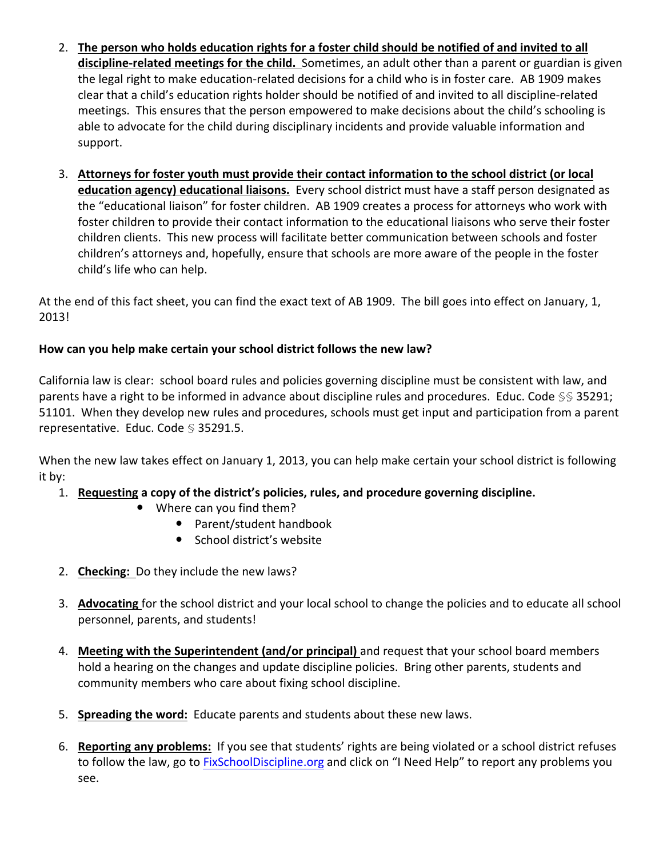- 2. The person who holds education rights for a foster child should be notified of and invited to all discipline-related meetings for the child. Sometimes, an adult other than a parent or guardian is given the legal right to make education-related decisions for a child who is in foster care. AB 1909 makes clear that a child's education rights holder should be notified of and invited to all discipline-related meetings. This ensures that the person empowered to make decisions about the child's schooling is able to advocate for the child during disciplinary incidents and provide valuable information and support.
- 3. Attorneys for foster youth must provide their contact information to the school district (or local education agency) educational liaisons. Every school district must have a staff person designated as the "educational liaison" for foster children. AB 1909 creates a process for attorneys who work with foster children to provide their contact information to the educational liaisons who serve their foster children clients. This new process will facilitate better communication between schools and foster children's attorneys and, hopefully, ensure that schools are more aware of the people in the foster child's life who can help.

At the end of this fact sheet, you can find the exact text of AB 1909. The bill goes into effect on January, 1, 2013!

## How can you help make certain your school district follows the new law?

California law is clear: school board rules and policies governing discipline must be consistent with law, and parents have a right to be informed in advance about discipline rules and procedures. Educ. Code §§ 35291; 51101. When they develop new rules and procedures, schools must get input and participation from a parent representative. Educ. Code § 35291.5.

When the new law takes effect on January 1, 2013, you can help make certain your school district is following it by:

- 1. Requesting a copy of the district's policies, rules, and procedure governing discipline.
	- Where can you find them?
		- Parent/student handbook
		- School district's website
- 2. Checking: Do they include the new laws?
- 3. Advocating for the school district and your local school to change the policies and to educate all school personnel, parents, and students!
- 4. Meeting with the Superintendent (and/or principal) and request that your school board members hold a hearing on the changes and update discipline policies. Bring other parents, students and community members who care about fixing school discipline.
- 5. Spreading the word: Educate parents and students about these new laws.
- 6. Reporting any problems: If you see that students' rights are being violated or a school district refuses to follow the law, go to FixSchoolDiscipline.org and click on "I Need Help" to report any problems you see.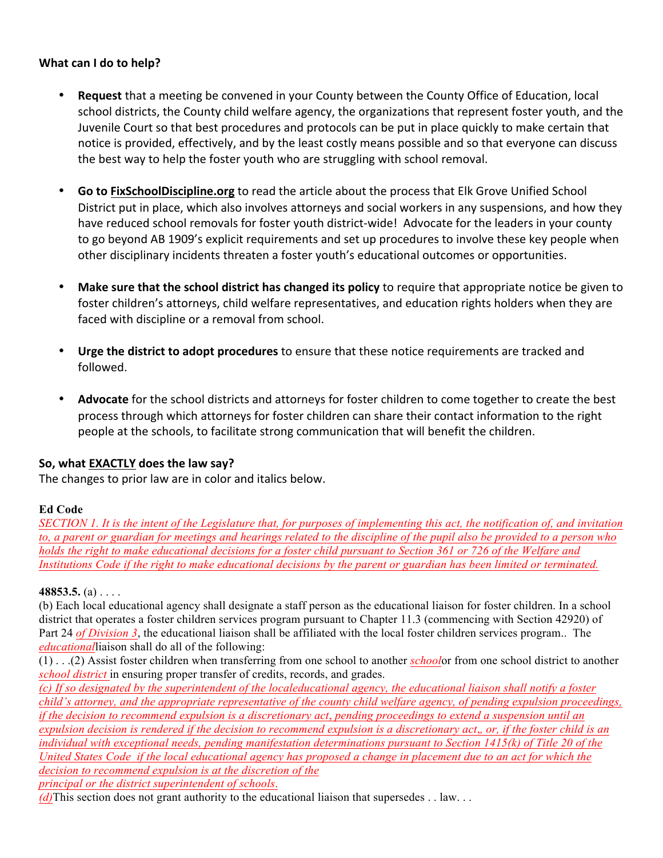#### **What can I do to help?**

- **Request** that a meeting be convened in your County between the County Office of Education, local school districts, the County child welfare agency, the organizations that represent foster youth, and the Juvenile Court so that best procedures and protocols can be put in place quickly to make certain that notice is provided, effectively, and by the least costly means possible and so that everyone can discuss the best way to help the foster youth who are struggling with school removal.
- **Go to FixSchoolDiscipline.org** to read the article about the process that Elk Grove Unified School District put in place, which also involves attorneys and social workers in any suspensions, and how they have reduced school removals for foster youth district-wide! Advocate for the leaders in your county to go beyond AB 1909's explicit requirements and set up procedures to involve these key people when other disciplinary incidents threaten a foster youth's educational outcomes or opportunities.
- Make sure that the school district has changed its policy to require that appropriate notice be given to foster children's attorneys, child welfare representatives, and education rights holders when they are faced with discipline or a removal from school.
- Urge the district to adopt procedures to ensure that these notice requirements are tracked and followed.
- Advocate for the school districts and attorneys for foster children to come together to create the best process through which attorneys for foster children can share their contact information to the right people at the schools, to facilitate strong communication that will benefit the children.

#### **So, what EXACTLY does the law say?**

The changes to prior law are in color and italics below.

#### **Ed Code**

*SECTION 1. It is the intent of the Legislature that, for purposes of implementing this act, the notification of, and invitation to, a parent or guardian for meetings and hearings related to the discipline of the pupil also be provided to a person who holds the right to make educational decisions for a foster child pursuant to Section 361 or 726 of the Welfare and Institutions Code if the right to make educational decisions by the parent or guardian has been limited or terminated.*

#### **48853.5.** (a) . . . .

(b) Each local educational agency shall designate a staff person as the educational liaison for foster children. In a school district that operates a foster children services program pursuant to Chapter 11.3 (commencing with Section 42920) of Part 24 *of Division 3*, the educational liaison shall be affiliated with the local foster children services program.. The *educational*liaison shall do all of the following:

(1) . . .(2) Assist foster children when transferring from one school to another *school*or from one school district to another *school district* in ensuring proper transfer of credits, records, and grades.

*(c) If so designated by the superintendent of the localeducational agency, the educational liaison shall notify a foster child's attorney, and the appropriate representative of the county child welfare agency, of pending expulsion proceedings, if the decision to recommend expulsion is a discretionary act*, *pending proceedings to extend a suspension until an expulsion decision is rendered if the decision to recommend expulsion is a discretionary act*,*, or, if the foster child is an individual with exceptional needs, pending manifestation determinations pursuant to Section 1415(k) of Title 20 of the United States Code if the local educational agency has proposed a change in placement due to an act for which the decision to recommend expulsion is at the discretion of the principal or the district superintendent of schools*.

*(d)*This section does not grant authority to the educational liaison that supersedes . . law. . .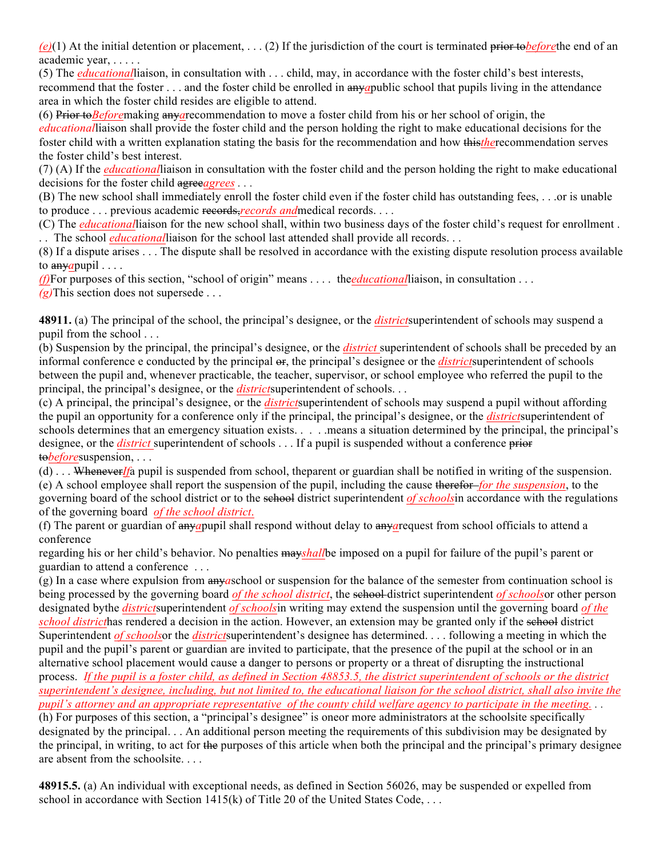*(e)*(1) At the initial detention or placement, . . . (2) If the jurisdiction of the court is terminated prior to*before*the end of an academic year, . . . . .

(5) The *educational*liaison, in consultation with . . . child, may, in accordance with the foster child's best interests, recommend that the foster . . . and the foster child be enrolled in any*a*public school that pupils living in the attendance area in which the foster child resides are eligible to attend.

(6) Prior to*Before*making any*a*recommendation to move a foster child from his or her school of origin, the *educational*liaison shall provide the foster child and the person holding the right to make educational decisions for the foster child with a written explanation stating the basis for the recommendation and how this*the*recommendation serves the foster child's best interest.

(7) (A) If the *educational*liaison in consultation with the foster child and the person holding the right to make educational decisions for the foster child agree*agrees . . .*

(B) The new school shall immediately enroll the foster child even if the foster child has outstanding fees, . . .or is unable to produce . . . previous academic records,*records and*medical records. . . .

(C) The *educational*liaison for the new school shall, within two business days of the foster child's request for enrollment . . . The school *educational*liaison for the school last attended shall provide all records. . .

(8) If a dispute arises . . . The dispute shall be resolved in accordance with the existing dispute resolution process available to any*a*pupil . . . .

*(f)*For purposes of this section, "school of origin" means . . . . the*educational*liaison, in consultation . . .

*(g)*This section does not supersede . . .

**48911.** (a) The principal of the school, the principal's designee, or the *district*superintendent of schools may suspend a pupil from the school . . .

(b) Suspension by the principal, the principal's designee, or the *district* superintendent of schools shall be preceded by an informal conference e conducted by the principal  $\Theta$ . the principal's designee or the *districtsuperintendent* of schools between the pupil and, whenever practicable, the teacher, supervisor, or school employee who referred the pupil to the principal, the principal's designee, or the *district*superintendent of schools. . .

(c) A principal, the principal's designee, or the *district*superintendent of schools may suspend a pupil without affording the pupil an opportunity for a conference only if the principal, the principal's designee, or the *district*superintendent of schools determines that an emergency situation exists. . . . .means a situation determined by the principal, the principal's designee, or the *district* superintendent of schools . . . If a pupil is suspended without a conference prior to*before*suspension, . . .

(d) . . . Whenever*If*a pupil is suspended from school, theparent or guardian shall be notified in writing of the suspension. (e) A school employee shall report the suspension of the pupil, including the cause therefor *for the suspension*, to the governing board of the school district or to the school district superintendent *of schools*in accordance with the regulations of the governing board *of the school district*.

(f) The parent or guardian of any*a*pupil shall respond without delay to any*a*request from school officials to attend a conference

regarding his or her child's behavior. No penalties may*shall*be imposed on a pupil for failure of the pupil's parent or guardian to attend a conference . . .

(g) In a case where expulsion from any*a*school or suspension for the balance of the semester from continuation school is being processed by the governing board *of the school district*, the school district superintendent *of schools*or other person designated bythe *district*superintendent *of schools*in writing may extend the suspension until the governing board *of the school district*has rendered a decision in the action. However, an extension may be granted only if the school district Superintendent *of schools*or the *district*superintendent's designee has determined. . . . following a meeting in which the pupil and the pupil's parent or guardian are invited to participate, that the presence of the pupil at the school or in an alternative school placement would cause a danger to persons or property or a threat of disrupting the instructional process. *If the pupil is a foster child, as defined in Section 48853.5, the district superintendent of schools or the district superintendent's designee, including, but not limited to, the educational liaison for the school district, shall also invite the pupil's attorney and an appropriate representative of the county child welfare agency to participate in the meeting. . .*  (h) For purposes of this section, a "principal's designee" is oneor more administrators at the schoolsite specifically designated by the principal. . . An additional person meeting the requirements of this subdivision may be designated by the principal, in writing, to act for the purposes of this article when both the principal and the principal's primary designee are absent from the schoolsite. . . .

**48915.5.** (a) An individual with exceptional needs, as defined in Section 56026, may be suspended or expelled from school in accordance with Section 1415(k) of Title 20 of the United States Code, ...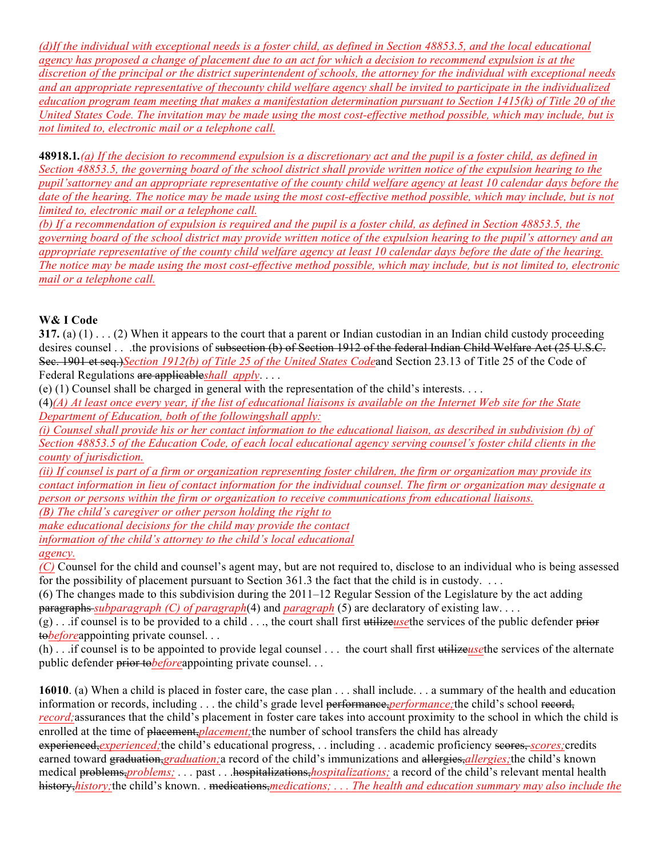*(d)If the individual with exceptional needs is a foster child, as defined in Section 48853.5, and the local educational agency has proposed a change of placement due to an act for which a decision to recommend expulsion is at the discretion of the principal or the district superintendent of schools, the attorney for the individual with exceptional needs and an appropriate representative of thecounty child welfare agency shall be invited to participate in the individualized education program team meeting that makes a manifestation determination pursuant to Section 1415(k) of Title 20 of the United States Code. The invitation may be made using the most cost-effective method possible, which may include, but is not limited to, electronic mail or a telephone call.*

**48918.1***.(a) If the decision to recommend expulsion is a discretionary act and the pupil is a foster child, as defined in Section 48853.5, the governing board of the school district shall provide written notice of the expulsion hearing to the pupil'sattorney and an appropriate representative of the county child welfare agency at least 10 calendar days before the*  date of the hearing. The notice may be made using the most cost-effective method possible, which may include, but is not *limited to, electronic mail or a telephone call.*

*(b) If a recommendation of expulsion is required and the pupil is a foster child, as defined in Section 48853.5, the governing board of the school district may provide written notice of the expulsion hearing to the pupil's attorney and an appropriate representative of the county child welfare agency at least 10 calendar days before the date of the hearing. The notice may be made using the most cost-effective method possible, which may include, but is not limited to, electronic mail or a telephone call.*

#### **W& I Code**

**317.** (a) (1) . . . (2) When it appears to the court that a parent or Indian custodian in an Indian child custody proceeding desires counsel . . .the provisions of subsection (b) of Section 1912 of the federal Indian Child Welfare Act (25 U.S.C. Sec. 1901 et seq.)*Section 1912(b) of Title 25 of the United States Code*and Section 23.13 of Title 25 of the Code of Federal Regulations are applicable*shall apply*. . . .

(e) (1) Counsel shall be charged in general with the representation of the child's interests. . . .

(4)*(A) At least once every year, if the list of educational liaisons is available on the Internet Web site for the State Department of Education, both of the followingshall apply:*

*(i) Counsel shall provide his or her contact information to the educational liaison, as described in subdivision (b) of Section 48853.5 of the Education Code, of each local educational agency serving counsel's foster child clients in the county of jurisdiction.* 

*(ii) If counsel is part of a firm or organization representing foster children, the firm or organization may provide its contact information in lieu of contact information for the individual counsel. The firm or organization may designate a person or persons within the firm or organization to receive communications from educational liaisons.*

*(B) The child's caregiver or other person holding the right to*

*make educational decisions for the child may provide the contact information of the child's attorney to the child's local educational*

*agency.*

*(C)* Counsel for the child and counsel's agent may, but are not required to, disclose to an individual who is being assessed for the possibility of placement pursuant to Section 361.3 the fact that the child is in custody. . . .

(6) The changes made to this subdivision during the 2011–12 Regular Session of the Legislature by the act adding paragraphs *subparagraph (C) of paragraph*(4) and *paragraph* (5) are declaratory of existing law. . . .

(g) . . .if counsel is to be provided to a child . . ., the court shall first utilize*use*the services of the public defender prior to*before*appointing private counsel. . .

(h) . . .if counsel is to be appointed to provide legal counsel . . . the court shall first utilize*use*the services of the alternate public defender prior to*before*appointing private counsel. . .

**16010**. (a) When a child is placed in foster care, the case plan . . . shall include. . . a summary of the health and education information or records, including . . . the child's grade level performance, *performance*; the child's school record, *record*; assurances that the child's placement in foster care takes into account proximity to the school in which the child is enrolled at the time of placement,*placement;*the number of school transfers the child has already experienced, *experienced*; the child's educational progress, . . including . . academic proficiency scores, *scores*; credits earned toward graduation,*graduation;*a record of the child's immunizations and allergies,*allergies;*the child's known medical problems,*problems; . . .* past . . .hospitalizations,*hospitalizations;* a record of the child's relevant mental health history,*history*; the child's known. . medications, *medications*; . . . The health and education summary may also include the